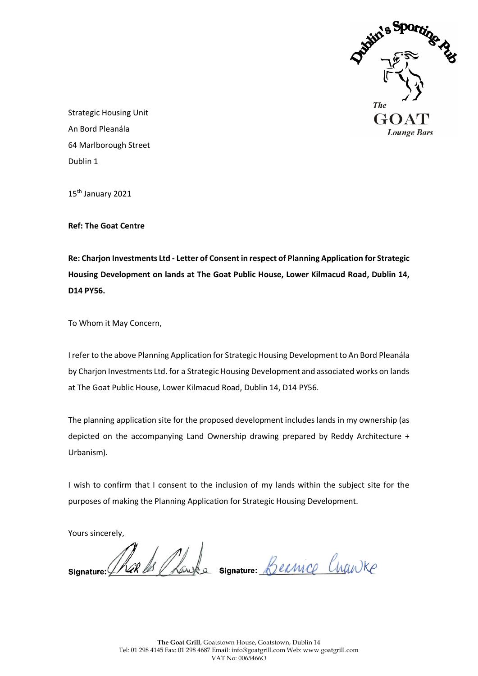

Strategic Housing Unit An Bord Pleanála 64 Marlborough Street Dublin 1

15<sup>th</sup> January 2021

**Ref: The Goat Centre**

**Re: Charjon Investments Ltd - Letter of Consent in respect of Planning Application for Strategic Housing Development on lands at The Goat Public House, Lower Kilmacud Road, Dublin 14, D14 PY56.**

To Whom it May Concern,

I refer to the above Planning Application for Strategic Housing Development to An Bord Pleanála by Charjon Investments Ltd. for a Strategic Housing Development and associated works on lands at The Goat Public House, Lower Kilmacud Road, Dublin 14, D14 PY56.

The planning application site for the proposed development includes lands in my ownership (as depicted on the accompanying Land Ownership drawing prepared by Reddy Architecture + Urbanism).

I wish to confirm that I consent to the inclusion of my lands within the subject site for the purposes of making the Planning Application for Strategic Housing Development.

Yours sincerely,

Rake Schauke signature Bernice Crawke Signature: